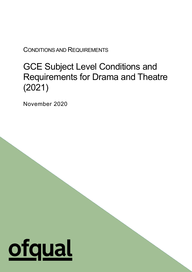CONDITIONS AND REQUIREMENTS

# GCE Subject Level Conditions and Requirements for Drama and Theatre (2021)

1

November 2020

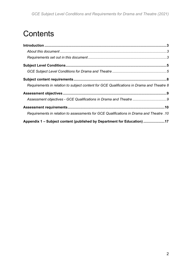# **Contents**

| Requirements in relation to subject content for GCE Qualifications in Drama and Theatre 8 |  |
|-------------------------------------------------------------------------------------------|--|
|                                                                                           |  |
|                                                                                           |  |
|                                                                                           |  |
| 10. Requirements in relation to assessments for GCE Qualifications in Drama and Theatre   |  |
| Appendix 1 – Subject content (published by Department for Education) 17                   |  |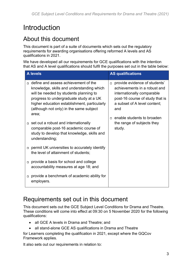# <span id="page-2-0"></span>**Introduction**

# <span id="page-2-1"></span>About this document

This document is part of a suite of documents which sets out the regulatory requirements for awarding organisations offering reformed A levels and AS qualifications in 2021.

We have developed all our requirements for GCE qualifications with the intention that AS and A level qualifications should fulfil the purposes set out in the table below:

| <b>A</b> levels |                                                                                                                                                                                                                                                                            |        | <b>AS qualifications</b>                                                                                                                                                                                                                              |  |
|-----------------|----------------------------------------------------------------------------------------------------------------------------------------------------------------------------------------------------------------------------------------------------------------------------|--------|-------------------------------------------------------------------------------------------------------------------------------------------------------------------------------------------------------------------------------------------------------|--|
| Π.              | define and assess achievement of the<br>knowledge, skills and understanding which<br>will be needed by students planning to<br>progress to undergraduate study at a UK<br>higher education establishment, particularly<br>(although not only) in the same subject<br>area; | $\Box$ | provide evidence of students'<br>achievements in a robust and<br>internationally comparable<br>post-16 course of study that is<br>a subset of A level content;<br>and<br>enable students to broaden<br>$\Box$<br>the range of subjects they<br>study. |  |
|                 | set out a robust and internationally<br>comparable post-16 academic course of<br>study to develop that knowledge, skills and<br>understanding;                                                                                                                             |        |                                                                                                                                                                                                                                                       |  |
|                 | $\Box$ permit UK universities to accurately identify<br>the level of attainment of students;                                                                                                                                                                               |        |                                                                                                                                                                                                                                                       |  |
| $\Box$          | provide a basis for school and college<br>accountability measures at age 18; and                                                                                                                                                                                           |        |                                                                                                                                                                                                                                                       |  |
| $\Box$          | provide a benchmark of academic ability for<br>employers.                                                                                                                                                                                                                  |        |                                                                                                                                                                                                                                                       |  |

# <span id="page-2-2"></span>Requirements set out in this document

This document sets out the GCE Subject Level Conditions for Drama and Theatre. These conditions will come into effect at 09:30 on 5 November 2020 for the following qualifications:

- all GCE A levels in Drama and Theatre; and
- all stand-alone GCE AS qualifications in Drama and Theatre

for Learners completing the qualification in 2021, except where the GQCov Framework applies.

It also sets out our requirements in relation to: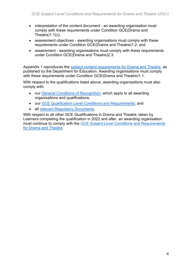- interpretation of the content document an awarding organisation must comply with these requirements under Condition GCE(Drama and Theatre $(1.1(c))$ ;
- assessment objectives awarding organisations must comply with these requirements under Condition GCE(Drama and Theatre)1.2; and
- assessment awarding organisations must comply with these requirements under Condition GCE(Drama and Theatre)2.3.

Appendix 1 reproduces the [subject content requirements for Drama and Theatre,](https://www.gov.uk/government/publications/gce-as-and-a-level-drama-and-theatre) as published by the Department for Education. Awarding organisations must comply with these requirements under Condition GCE(Drama and Theatre)1.1.

With respect to the qualifications listed above, awarding organisations must also comply with:

- our [General Conditions of Recognition,](https://www.gov.uk/government/publications/general-conditions-of-recognition) which apply to all awarding organisations and qualifications;
- our [GCE Qualification Level Conditions and Requirements;](https://www.gov.uk/government/publications/gce-qualification-level-conditions-and-requirements) and
- all [relevant Regulatory Documents.](https://www.gov.uk/government/publications/regulatory-documents-list)

With respect to all other GCE Qualifications in Drama and Theatre, taken by Learners completing the qualification in 2022 and after, an awarding organisation must continue to comply with the [GCE Subject Level Conditions and Requirements](https://www.gov.uk/government/publications/gce-subject-level-conditions-and-requirements-for-drama-and-theatre)  [for Drama and Theatre.](https://www.gov.uk/government/publications/gce-subject-level-conditions-and-requirements-for-drama-and-theatre)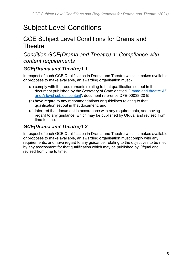# <span id="page-4-0"></span>Subject Level Conditions

# <span id="page-4-1"></span>GCE Subject Level Conditions for Drama and **Theatre**

*Condition GCE(Drama and Theatre) 1: Compliance with content requirements*

#### *GCE(Drama and Theatre)1.1*

In respect of each GCE Qualification in Drama and Theatre which it makes available, or proposes to make available, an awarding organisation must -

- (a) comply with the requirements relating to that qualification set out in the document published by the Secretary of State entitled ['Drama and theatre AS](https://www.gov.uk/government/publications/gce-as-and-a-level-drama-and-theatre)  [and A level subject content',](https://www.gov.uk/government/publications/gce-as-and-a-level-drama-and-theatre) document reference DFE-00038-2015,
- (b) have regard to any recommendations or guidelines relating to that qualification set out in that document, and
- (c) interpret that document in accordance with any requirements, and having regard to any guidance, which may be published by Ofqual and revised from time to time.

### *GCE(Drama and Theatre)1.2*

In respect of each GCE Qualification in Drama and Theatre which it makes available, or proposes to make available, an awarding organisation must comply with any requirements, and have regard to any guidance, relating to the objectives to be met by any assessment for that qualification which may be published by Ofqual and revised from time to time.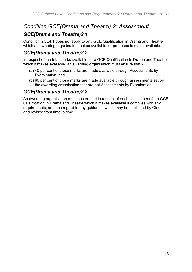# *Condition GCE(Drama and Theatre) 2: Assessment*

#### *GCE(Drama and Theatre)2.1*

Condition GCE4.1 does not apply to any GCE Qualification in Drama and Theatre which an awarding organisation makes available, or proposes to make available.

## *GCE(Drama and Theatre)2.2*

In respect of the total marks available for a GCE Qualification in Drama and Theatre which it makes available, an awarding organisation must ensure that -

- (a) 40 per cent of those marks are made available through Assessments by Examination, and
- (b) 60 per cent of those marks are made available through assessments set by the awarding organisation that are not Assessments by Examination.

### *GCE(Drama and Theatre)2.3*

An awarding organisation must ensure that in respect of each assessment for a GCE Qualification in Drama and Theatre which it makes available it complies with any requirements, and has regard to any guidance, which may be published by Ofqual and revised from time to time.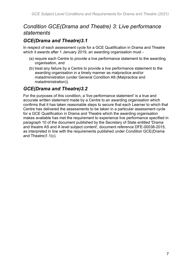# *Condition GCE(Drama and Theatre) 3: Live performance statements*

### *GCE(Drama and Theatre)3.1*

In respect of each assessment cycle for a GCE Qualification in Drama and Theatre which it awards after 1 January 2019, an awarding organisation must -

- (a) require each Centre to provide a live performance statement to the awarding organisation, and
- (b) treat any failure by a Centre to provide a live performance statement to the awarding organisation in a timely manner as malpractice and/or maladministration (under General Condition A8 (Malpractice and maladministration)).

#### *GCE(Drama and Theatre)3.2*

For the purposes of this condition, a 'live performance statement' is a true and accurate written statement made by a Centre to an awarding organisation which confirms that it has taken reasonable steps to secure that each Learner to which that Centre has delivered the assessments to be taken in a particular assessment cycle for a GCE Qualification in Drama and Theatre which the awarding organisation makes available has met the requirement to experience live performance specified in paragraph 10 of the document published by the Secretary of State entitled 'Drama and theatre AS and A level subject content', document reference DFE-00038-2015, as interpreted in line with the requirements published under Condition GCE(Drama and Theatre)1.1(c).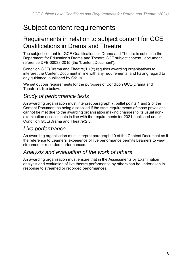# <span id="page-7-0"></span>Subject content requirements

# <span id="page-7-1"></span>Requirements in relation to subject content for GCE Qualifications in Drama and Theatre

The subject content for GCE Qualifications in Drama and Theatre is set out in the Department for Education's Drama and Theatre GCE subject content, document reference DFE-00038-2015 (the 'Content Document').

Condition GCE(Drama and Theatre)1.1(c) requires awarding organisations to interpret the Content Document in line with any requirements, and having regard to any guidance, published by Ofqual.

We set out our requirements for the purposes of Condition GCE(Drama and Theatre)1.1(c) below.

# *Study of performance texts*

An awarding organisation must interpret paragraph 7, bullet points 1 and 2 of the Content Document as being disapplied if the strict requirements of those provisions cannot be met due to the awarding organisation making changes to its usual nonexamination assessments in line with the requirements for 2021 published under Condition GCE(Drama and Theatre)2.3.

## *Live performance*

An awarding organisation must interpret paragraph 10 of the Content Document as if the reference to Learners' experience of live performance permits Learners to view streamed or recorded performances.

## *Analysis and evaluation of the work of others*

An awarding organisation must ensure that in the Assessments by Examination analysis and evaluation of live theatre performance by others can be undertaken in response to streamed or recorded performances.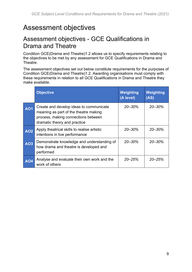# <span id="page-8-0"></span>Assessment objectives

# <span id="page-8-1"></span>Assessment objectives - GCE Qualifications in Drama and Theatre

Condition GCE(Drama and Theatre)1.2 allows us to specify requirements relating to the objectives to be met by any assessment for GCE Qualifications in Drama and Theatre.

The assessment objectives set out below constitute requirements for the purposes of Condition GCE(Drama and Theatre)1.2. Awarding organisations must comply with these requirements in relation to all GCE Qualifications in Drama and Theatre they make available.

|            | <b>Objective</b>                                                                                                                                        | Weighting<br>(A level) | Weighting<br>(AS) |
|------------|---------------------------------------------------------------------------------------------------------------------------------------------------------|------------------------|-------------------|
| <b>AO1</b> | Create and develop ideas to communicate<br>meaning as part of the theatre making<br>process, making connections between<br>dramatic theory and practice | $20 - 30\%$            | $20 - 30\%$       |
| <b>AO2</b> | Apply theatrical skills to realise artistic<br>intentions in live performance                                                                           | $20 - 30\%$            | $20 - 30\%$       |
| <b>AO3</b> | Demonstrate knowledge and understanding of<br>how drama and theatre is developed and<br>performed                                                       | $20 - 30\%$            | $20 - 30\%$       |
| <b>AO4</b> | Analyse and evaluate their own work and the<br>work of others                                                                                           | $20 - 25%$             | $20 - 25%$        |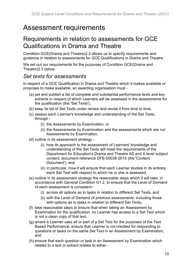# <span id="page-9-0"></span>Assessment requirements

# <span id="page-9-1"></span>Requirements in relation to assessments for GCE Qualifications in Drama and Theatre

Condition GCE(Drama and Theatre)2.3 allows us to specify requirements and guidance in relation to assessments for GCE Qualifications in Drama and Theatre.

We set out our requirements for the purposes of Condition GCE(Drama and Theatre)2.3 below.

## *Set texts for assessments*

In respect of a GCE Qualification in Drama and Theatre which it makes available or proposes to make available, an awarding organisation must -

- (a) set and publish a list of complete and substantial performance texts and key extracts in respect of which Learners will be assessed in the assessments for the qualification (the 'Set Texts'),
- (b) keep its list of Set Texts under review and revise it from time to time,
- (c) assess each Learner's knowledge and understanding of the Set Texts, through -
	- (i) the Assessments by Examination, or
	- (ii) the Assessments by Examination and the assessments which are not Assessments by Examination,
- (d) outline in its assessment strategy
	- (i) how its approach to the assessment of Learners' knowledge and understanding of the Set Texts will meet the requirements of the Department for Education's Drama and Theatre AS and A level subject content, document reference DFE-00038-2015 (the 'Content Document'), and
	- (ii) in particular, how it will ensure that each Learner studies in its entirety each Set Text with respect to which he or she is assessed,
- (e) outline in its assessment strategy the reasonable steps which it will take, in accordance with General Condition G1.2, to ensure that the Level of Demand of each assessment is consistent -
	- (i) across all options as to tasks in relation to different Set Texts, and
	- (ii) with the Level of Demand of previous assessments, including those with options as to tasks in relation to different Set Texts,
- (f) take reasonable steps to ensure that when taking an Assessment by Examination for the qualification, no Learner has access to a Set Text which is not a clean copy of that text,
- (g) where a Learner uses all or part of a Set Text for the purposes of the Text Based Performance, ensure that Learner is not credited for responding to questions or tasks on the same Set Text in an Assessment by Examination, and
- (h) ensure that each question or task in an Assessment by Examination which relates to a text or extract relates to either -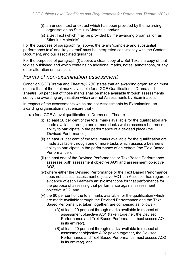- (i) an unseen text or extract which has been provided by the awarding organisation as Stimulus Materials, and/or
- (ii) a Set Text (which may be provided by the awarding organisation as Stimulus Materials).

For the purposes of paragraph (a) above, the terms 'complete and substantial performance text' and 'key extract' must be interpreted consistently with the Content Document, and our associated guidance.

For the purposes of paragraph (f) above, a clean copy of a Set Text is a copy of that text as published and which contains no additional marks, notes, annotations, or any other alteration or inclusion.

## *Forms of non-examination assessment*

Condition GCE(Drama and Theatre)2.2(b) states that an awarding organisation must ensure that of the total marks available for a GCE Qualification in Drama and Theatre, 60 per cent of those marks shall be made available through assessments set by the awarding organisation which are not Assessments by Examination.

In respect of the assessments which are not Assessments by Examination, an awarding organisation must ensure that -

- (a) for a GCE A level qualification in Drama and Theatre
	- (i) at least 20 per cent of the total marks available for the qualification are made available through one or more tasks which assess a Learner's ability to participate in the performance of a devised piece (the 'Devised Performance'),
	- (ii) at least 20 per cent of the total marks available for the qualification are made available through one or more tasks which assess a Learner's ability to participate in the performance of an extract (the 'Text Based Performance'),
	- (iii) at least one of the Devised Performance or Text Based Performance assesses both assessment objective AO1 and assessment objective AO2,
	- (iv)where either the Devised Performance or the Text Based Performance does not assess assessment objective AO1, an Assessor has regard to evidence of each Learner's artistic intentions for that performance for the purpose of assessing that performance against assessment objective AO2, and
	- (v) the 60 per cent of the total marks available for the qualification which are made available through the Devised Performance and the Text Based Performance, taken together, are comprised as follows -
		- (A) at least 20 per cent through marks available in respect of assessment objective AO1 (taken together, the Devised Performance and Text Based Performance must assess AO1 in its entirety),
		- (B) at least 20 per cent through marks available in respect of assessment objective AO2 (taken together, the Devised Performance and Text Based Performance must assess AO2 in its entirety), and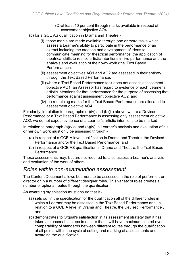- (C)at least 10 per cent through marks available in respect of assessment objective AO4.
- (b) for a GCE AS qualification in Drama and Theatre
	- (i) those marks are made available through one or more tasks which assess a Learner's ability to participate in the performance of an extract including the creation and development of ideas to communicate meaning for theatrical performance, the application of theatrical skills to realise artistic intentions in live performance and the analysis and evaluation of their own work (the 'Text Based Performance'),
	- (ii) assessment objectives AO1 and AO2 are assessed in their entirety through the Text Based Performance,
	- (iii) where a Text Based Performance task does not assess assessment objective AO1, an Assessor has regard to evidence of each Learner's artistic intentions for that performance for the purpose of assessing that performance against assessment objective AO2, and
	- (iv)the remaining marks for the Text Based Performance are allocated to assessment objective AO4.

For clarity, in relation to paragraphs (a)(iv) and (b)(iii) above, where a Devised Performance or a Text Based Performance is assessing only assessment objective AO2, we do not expect evidence of a Learner's artistic intentions to be marked.

In relation to paragraph  $(a)(v)c$ . and  $(b)(iv)$ , a Learner's analysis and evaluation of his or her own work must only be assessed through -

- (a) in respect of a GCE A level qualification in Drama and Theatre, the Devised Performance and/or the Text Based Performance, and
- (b) in respect of a GCE AS qualification in Drama and Theatre, the Text Based Performance.

Those assessments may, but are not required to, also assess a Learner's analysis and evaluation of the work of others.

#### *Roles within non-examination assessment*

The Content Document allows Learners to be assessed in the role of performer, or director or in a number of different designer roles. This variety of roles creates a number of optional routes through the qualification.

An awarding organisation must ensure that it -

- (a) sets out in the specification for the qualification all of the different roles in which a Learner may be assessed in the Text Based Performance and, in relation to a GCE A level in Drama and Theatre, the Devised Performance , and
- (b) demonstrates to Ofqual's satisfaction in its assessment strategy that it has taken all reasonable steps to ensure that it will have maximum control over comparability of standards between different routes through the qualification at all points within the cycle of setting and marking of assessments and awarding the qualification.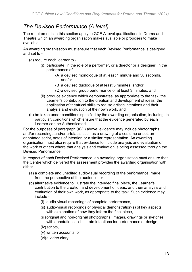# *The Devised Performance (A level)*

The requirements in this section apply to GCE A level qualifications in Drama and Theatre which an awarding organisation makes available or proposes to make available.

An awarding organisation must ensure that each Devised Performance is designed and set to -

- (a) require each learner to
	- (i) participate, in the role of a performer, or a director or a designer, in the performance of -
		- (A) a devised monologue of at least 1 minute and 30 seconds, and/or
		- (B) a devised duologue of at least 3 minutes, and/or
		- (C)a devised group performance of at least 3 minutes, and
	- (ii) produce evidence which demonstrates, as appropriate to the task, the Learner's contribution to the creation and development of ideas, the application of theatrical skills to realise artistic intentions and their analysis and evaluation of their own work, and
- (b) be taken under conditions specified by the awarding organisation, including, in particular, conditions which ensure that the evidence generated by each Learner can be Authenticated.

For the purposes of paragraph (a)(ii) above, evidence may include photographs and/or recordings and/or artefacts such as a drawing of a costume or set, an annotated script, notes of intention or a similar representation. An awarding organisation must also require that evidence to include analysis and evaluation of the work of others where that analysis and evaluation is being assessed through the Devised Performance.

In respect of each Devised Performance, an awarding organisation must ensure that the Centre which delivered the assessment provides the awarding organisation with either -

- (a) a complete and unedited audiovisual recording of the performance, made from the perspective of the audience, or
- (b) alternative evidence to illustrate the intended final piece, the Learner's contribution to the creation and development of ideas, and their analysis and evaluation of their own work, as appropriate to the task. Such evidence may include -
	- (i) audio-visual recordings of complete performance,
	- (ii) audio-visual recordings of physical demonstration(s) of key aspects with explanation of how they inform the final piece,
	- (iii) original and non-original photographs, images, drawings or sketches with annotations to illustrate intentions for performance or design,
	- (iv)scripts,
	- (v) written accounts, or
	- (vi)a video diary.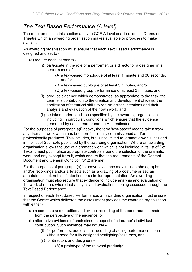# *The Text Based Performance (A level)*

The requirements in this section apply to GCE A level qualifications in Drama and Theatre which an awarding organisation makes available or proposes to make available.

An awarding organisation must ensure that each Text Based Performance is designed and set to -

- (a) require each learner to
	- (i) participate in the role of a performer, or a director or a designer, in a performance of -
		- (A) a text-based monologue of at least 1 minute and 30 seconds, and/or
		- (B) a text-based duologue of at least 3 minutes, and/or
		- (C)a text-based group performance of at least 3 minutes, and
	- (i) produce evidence which demonstrates, as appropriate to the task, the Learner's contribution to the creation and development of ideas, the application of theatrical skills to realise artistic intentions and their analysis and evaluation of their own work, and
	- (ii) be taken under conditions specified by the awarding organisation, including, in particular, conditions which ensure that the evidence generated by each Learner can be Authenticated.

For the purposes of paragraph a(i) above, the term 'text-based' means taken from any dramatic work which has been professionally commissioned and/or professionally produced. This includes, but is not limited to, dramatic works included in the list of Set Texts published by the awarding organisation. Where an awarding organisation allows the use of a dramatic work which is not included in its list of Set Texts it must put in place appropriate controls around the selection of the dramatic work, and any excerpt from it, which ensure that the requirements of the Content Document and General Condition G1.2 are met.

For the purposes of paragraph (a)(ii) above, evidence may include photographs and/or recordings and/or artefacts such as a drawing of a costume or set, an annotated script, notes of intention or a similar representation. An awarding organisation must also require that evidence to include analysis and evaluation of the work of others where that analysis and evaluation is being assessed through the Text Based Performance.

In respect of each Text Based Performance, an awarding organisation must ensure that the Centre which delivered the assessment provides the awarding organisation with either -

- (a) a complete and unedited audiovisual recording of the performance, made from the perspective of the audience, or
- (b) alternative evidence of each discrete aspect of a Learner's individual contribution. Such evidence may include -
	- (i) for performers, audio-visual recording of acting performance alone without need for fully designed set/lighting/costumes, and
	- (ii) for directors and designers -

(A) a prototype of the relevant product(s),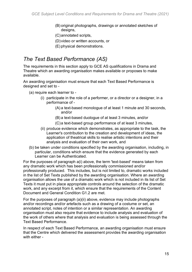- (B) original photographs, drawings or annotated sketches of designs,
- (C)annotated scripts,
- (D)video or written accounts, or
- (E) physical demonstrations.

# *The Text Based Performance (AS)*

The requirements in this section apply to GCE AS qualifications in Drama and Theatre which an awarding organisation makes available or proposes to make available.

An awarding organisation must ensure that each Text Based Performance is designed and set to -

- (a) require each learner to
	- (i) participate in the role of a performer, or a director or a designer, in a performance of -
		- (A) a text-based monologue of at least 1 minute and 30 seconds, and/or
		- (B) a text-based duologue of at least 3 minutes, and/or
		- (C)a text-based group performance of at least 3 minutes,
	- (ii) produce evidence which demonstrates, as appropriate to the task, the Learner's contribution to the creation and development of ideas, the application of theatrical skills to realise artistic intentions and their analysis and evaluation of their own work, and
- (b) be taken under conditions specified by the awarding organisation, including, in particular, conditions which ensure that the evidence generated by each Learner can be Authenticated.

For the purposes of paragraph a(i) above, the term 'text-based' means taken from any dramatic work which has been professionally commissioned and/or professionally produced. This includes, but is not limited to, dramatic works included in the list of Set Texts published by the awarding organisation. Where an awarding organisation allows the use of a dramatic work which is not included in its list of Set Texts it must put in place appropriate controls around the selection of the dramatic work, and any excerpt from it, which ensure that the requirements of the Content Document and General Condition G1.2 are met.

For the purposes of paragraph (a)(ii) above, evidence may include photographs and/or recordings and/or artefacts such as a drawing of a costume or set, an annotated script, notes of intention or a similar representation. An awarding organisation must also require that evidence to include analysis and evaluation of the work of others where that analysis and evaluation is being assessed through the Text Based Performance.

In respect of each Text Based Performance, an awarding organisation must ensure that the Centre which delivered the assessment provides the awarding organisation with either -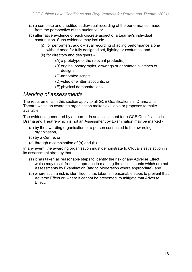- (a) a complete and unedited audiovisual recording of the performance, made from the perspective of the audience, or
- (b) alternative evidence of each discrete aspect of a Learner's individual contribution. Such evidence may include -
	- (i) for performers, audio-visual recording of acting performance alone without need for fully designed set, lighting or costumes, and
	- (ii) for directors and designers
		- (A) a prototype of the relevant product(s),
		- (B) original photographs, drawings or annotated sketches of designs,
		- (C)annotated scripts,
		- (D)video or written accounts, or
		- (E) physical demonstrations.

#### *Marking of assessments*

The requirements in this section apply to all GCE Qualifications in Drama and Theatre which an awarding organisation makes available or proposes to make available.

The evidence generated by a Learner in an assessment for a GCE Qualification in Drama and Theatre which is not an Assessment by Examination may be marked -

- (a) by the awarding organisation or a person connected to the awarding organisation,
- (b) by a Centre, or
- (c) through a combination of (a) and (b).

In any event, the awarding organisation must demonstrate to Ofqual's satisfaction in its assessment strategy that -

- (a) it has taken all reasonable steps to identify the risk of any Adverse Effect which may result from its approach to marking the assessments which are not Assessments by Examination (and to Moderation where appropriate), and
- (b) where such a risk is identified, it has taken all reasonable steps to prevent that Adverse Effect or, where it cannot be prevented, to mitigate that Adverse **Effect.**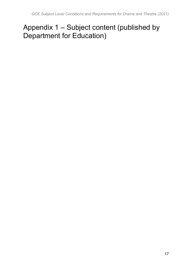# <span id="page-16-0"></span>Appendix 1 – Subject content (published by Department for Education)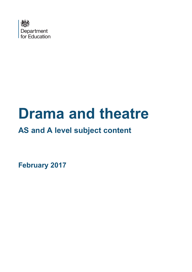

# **Drama and theatre**

# **AS and A level subject content**

<span id="page-17-0"></span>**February 2017**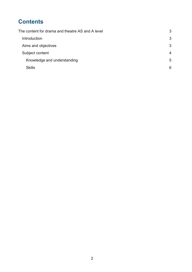# **Contents**

| The content for drama and theatre AS and A level | 3              |
|--------------------------------------------------|----------------|
| Introduction                                     | 3              |
| Aims and objectives                              | 3              |
| Subject content                                  | $\overline{4}$ |
| Knowledge and understanding                      | 5              |
| <b>Skills</b>                                    | 6              |
|                                                  |                |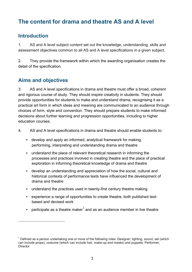# <span id="page-19-0"></span>**The content for drama and theatre AS and A level**

#### <span id="page-19-1"></span>**Introduction**

 $\overline{a}$ 

1. AS and A level subject content set out the knowledge, understanding, skills and assessment objectives common to all AS and A level specifications in a given subject.

2. They provide the framework within which the awarding organisation creates the detail of the specification.

## <span id="page-19-2"></span>**Aims and objectives**

3. AS and A level specifications in drama and theatre must offer a broad, coherent and rigorous course of study. They should inspire creativity in students. They should provide opportunities for students to make and understand drama, recognising it as a practical art form in which ideas and meaning are communicated to an audience through choices of form, style and convention. They should prepare students to make informed decisions about further learning and progression opportunities, including to higher education courses.

4. AS and A level specifications in drama and theatre should enable students to:

- develop and apply an informed, analytical framework for making, performing, interpreting and understanding drama and theatre
- understand the place of relevant theoretical research in informing the processes and practices involved in creating theatre and the place of practical exploration in informing theoretical knowledge of drama and theatre
- develop an understanding and appreciation of how the social, cultural and historical contexts of performance texts have influenced the development of drama and theatre
- understand the practices used in twenty-first century theatre making
- experience a range of opportunities to create theatre, both published textbased and devised work
- participate as a theatre maker<sup>[1](#page-17-0)</sup> and as an audience member in live theatre

<span id="page-19-3"></span> $1$  Defined as a person undertaking one or more of the following roles: Designer: lighting, sound, set (which can include props), costume (which can include hair, make-up and masks) and puppets; Performer; **Director**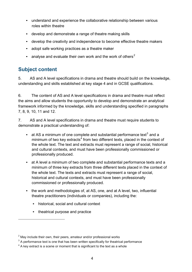- understand and experience the collaborative relationship between various roles within theatre
- develop and demonstrate a range of theatre making skills
- develop the creativity and independence to become effective theatre makers
- adopt safe working practices as a theatre maker
- analyse and evaluate their own work and the work of others<sup>[2](#page-19-3)</sup>

# <span id="page-20-0"></span>**Subject content**

5. AS and A level specifications in drama and theatre should build on the knowledge, understanding and skills established at key stage 4 and in GCSE qualifications.

6. The content of AS and A level specifications in drama and theatre must reflect the aims and allow students the opportunity to develop and demonstrate an analytical framework informed by the knowledge, skills and understanding specified in paragraphs 7, 8, 9, 10, 11 and 12.

7. AS and A level specifications in drama and theatre must require students to demonstrate a practical understanding of:

- at AS a minimum of one complete and substantial performance text<sup>[3](#page-20-1)</sup> and a minimum of two key extracts<sup>[4](#page-20-2)</sup> from two different texts, placed in the context of the whole text. The text and extracts must represent a range of social, historical and cultural contexts, and must have been professionally commissioned or professionally produced.
- at A level a minimum of two complete and substantial performance texts and a minimum of three key extracts from three different texts placed in the context of the whole text. The texts and extracts must represent a range of social, historical and cultural contexts, and must have been professionally commissioned or professionally produced.
- the work and methodologies of, at AS, one, and at A level, two, influential theatre practitioners (individuals or companies), including the:
	- historical, social and cultural context
	- theatrical purpose and practice

 $\overline{a}$ 

 $2$  May include their own, their peers, amateur and/or professional works

<span id="page-20-1"></span> $3$  A performance text is one that has been written specifically for theatrical performance

<span id="page-20-2"></span> $4$  A key extract is a scene or moment that is significant to the text as a whole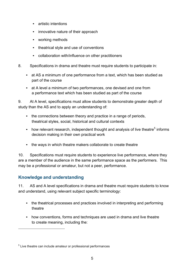- artistic intentions
- innovative nature of their approach
- working methods
- theatrical style and use of conventions
- collaboration with/influence on other practitioners
- 8. Specifications in drama and theatre must require students to participate in:
	- at AS a minimum of one performance from a text, which has been studied as part of the course
	- at A level a minimum of two performances, one devised and one from a performance text which has been studied as part of the course

9. At A level, specifications must allow students to demonstrate greater depth of study than the AS and to apply an understanding of:

- the connections between theory and practice in a range of periods, theatrical styles, social, historical and cultural contexts
- how relevant research, independent thought and analysis of live theatre<sup>[5](#page-20-2)</sup> informs decision making in their own practical work
- the ways in which theatre makers collaborate to create theatre

10. Specifications must require students to experience live performance, where they are a member of the audience in the same performance space as the performers. This may be a professional or amateur, but not a peer, performance.

#### <span id="page-21-0"></span>**Knowledge and understanding**

 $\overline{a}$ 

11. AS and A level specifications in drama and theatre must require students to know and understand, using relevant subject specific terminology:

- the theatrical processes and practices involved in interpreting and performing theatre
- how conventions, forms and techniques are used in drama and live theatre to create meaning, including the:

<span id="page-21-1"></span><sup>5</sup> Live theatre can include amateur or professional performances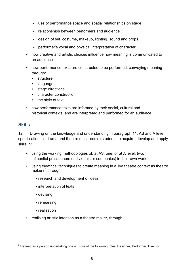- use of performance space and spatial relationships on stage
- relationships between performers and audience
- design of set, costume, makeup, lighting, sound and props
- performer's vocal and physical interpretation of character
- how creative and artistic choices influence how meaning is communicated to an audience
- how performance texts are constructed to be performed, conveying meaning through:
	- structure
	- language
	- stage directions
	- character construction
	- the style of text
- how performance texts are informed by their social, cultural and historical contexts, and are interpreted and performed for an audience

#### <span id="page-22-0"></span>**Skills**

<span id="page-22-1"></span> $\overline{a}$ 

12. Drawing on the knowledge and understanding in paragraph 11, AS and A level specifications in drama and theatre must require students to acquire, develop and apply skills in:

- using the working methodologies of, at AS, one, or at A level, two, influential practitioners (individuals or companies) in their own work
- using theatrical techniques to create meaning in a live theatre context as theatre makers<sup>[6](#page-21-1)</sup> through:
	- •research and development of ideas
	- interpretation of texts
	- devising
	- rehearsing
	- realisation
- realising artistic intention as a theatre maker, through:

 $6$  Defined as a person undertaking one or more of the following roles: Designer, Performer, Director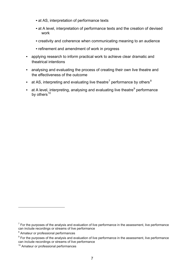- at AS, interpretation of performance texts
- at A level, interpretation of performance texts and the creation of devised work
- creativity and coherence when communicating meaning to an audience
- refinement and amendment of work in progress
- applying research to inform practical work to achieve clear dramatic and theatrical intentions
- analysing and evaluating the process of creating their own live theatre and the effectiveness of the outcome
- at AS, interpreting and evaluating live theatre<sup>[7](#page-22-1)</sup> performance by others<sup>[8](#page-23-0)</sup>
- at A level, interpreting, analysing and evaluating live theatre<sup>[9](#page-23-1)</sup> performance by others $10$

 $\overline{a}$ 

 $<sup>7</sup>$  For the purposes of the analysis and evaluation of live performance in the assessment, live performance</sup> can include recordings or streams of live performance

<span id="page-23-0"></span><sup>8</sup> Amateur or professional performances

<span id="page-23-1"></span> $9$  For the purposes of the analysis and evaluation of live performance in the assessment, live performance can include recordings or streams of live performance

<span id="page-23-2"></span><sup>&</sup>lt;sup>10</sup> Amateur or professional performances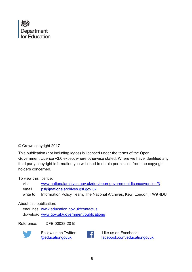

#### © Crown copyright 2017

This publication (not including logos) is licensed under the terms of the Open Government Licence v3.0 except where otherwise stated. Where we have identified any third party copyright information you will need to obtain permission from the copyright holders concerned.

To view this licence:

| visit    | www.nationalarchives.gov.uk/doc/open-government-licence/version/3    |
|----------|----------------------------------------------------------------------|
| email    | psi@nationalarchives.gsi.gov.uk                                      |
| write to | Information Policy Team, The National Archives, Kew, London, TW9 4DU |

#### About this publication:

enquiries [www.education.gov.uk/contactus](http://www.education.gov.uk/contactus)  download [www.gov.uk/government/publications](http://www.gov.uk/government/publications) 

Reference: DFE-00038-2015



Follow us on Twitter:<br> **CONFINENTIAL CONFIDENT** 



Like us on Facebook: [facebook.com/educationgovuk](http://www.facebook.com/educationgovuk)